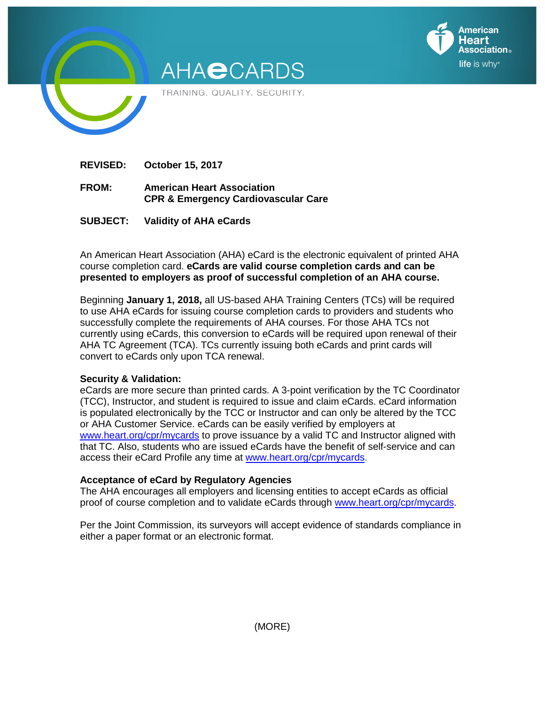

**REVISED: October 15, 2017** 

- **FROM: American Heart Association CPR & Emergency Cardiovascular Care**
- **SUBJECT: Validity of AHA eCards**

An American Heart Association (AHA) eCard is the electronic equivalent of printed AHA course completion card. **eCards are valid course completion cards and can be presented to employers as proof of successful completion of an AHA course.**

**American** leart

life is why<sup>®</sup>

Beginning **January 1, 2018,** all US-based AHA Training Centers (TCs) will be required to use AHA eCards for issuing course completion cards to providers and students who successfully complete the requirements of AHA courses. For those AHA TCs not currently using eCards, this conversion to eCards will be required upon renewal of their AHA TC Agreement (TCA). TCs currently issuing both eCards and print cards will convert to eCards only upon TCA renewal.

## **Security & Validation:**

eCards are more secure than printed cards. A 3-point verification by the TC Coordinator (TCC), Instructor, and student is required to issue and claim eCards. eCard information is populated electronically by the TCC or Instructor and can only be altered by the TCC or AHA Customer Service. eCards can be easily verified by employers at www.heart.org/cpr/mycards to prove issuance by a valid TC and Instructor aligned with that TC. Also, students who are issued eCards have the benefit of self-service and can access their eCard Profile any time at www.heart.org/cpr/mycards.

## **Acceptance of eCard by Regulatory Agencies**

The AHA encourages all employers and licensing entities to accept eCards as official proof of course completion and to validate eCards through www.heart.org/cpr/mycards.

Per the Joint Commission, its surveyors will accept evidence of standards compliance in either a paper format or an electronic format.